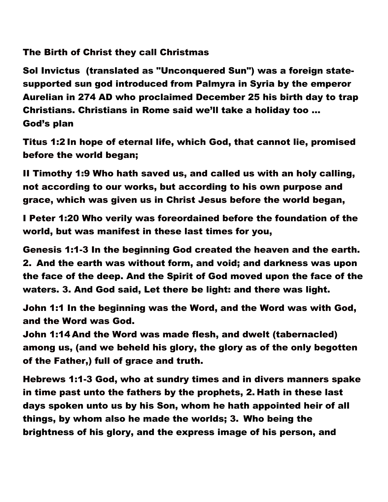# The Birth of Christ they call Christmas

Sol Invictus (translated as "Unconquered Sun") was a foreign statesupported sun god introduced from Palmyra in Syria by the emperor Aurelian in 274 AD who proclaimed December 25 his birth day to trap Christians. Christians in Rome said we'll take a holiday too … God's plan

Titus 1:2 In hope of eternal life, which God, that cannot lie, promised before the world began;

II Timothy 1:9 Who hath saved us, and called us with an holy calling, not according to our works, but according to his own purpose and grace, which was given us in Christ Jesus before the world began,

I Peter 1:20 Who verily was foreordained before the foundation of the world, but was manifest in these last times for you,

Genesis 1:1-3 In the beginning God created the heaven and the earth. 2. And the earth was without form, and void; and darkness was upon the face of the deep. And the Spirit of God moved upon the face of the waters. 3. And God said, Let there be light: and there was light.

John 1:1 In the beginning was the Word, and the Word was with God, and the Word was God.

John 1:14 And the Word was made flesh, and dwelt (tabernacled) among us, (and we beheld his glory, the glory as of the only begotten of the Father,) full of grace and truth.

Hebrews 1:1-3 God, who at sundry times and in divers manners spake in time past unto the fathers by the prophets, 2. Hath in these last days spoken unto us by his Son, whom he hath appointed heir of all things, by whom also he made the worlds; 3. Who being the brightness of his glory, and the express image of his person, and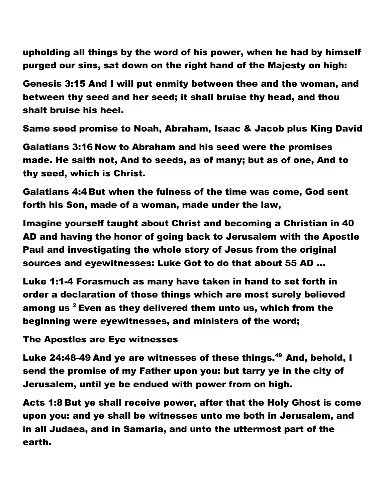upholding all things by the word of his power, when he had by himself purged our sins, sat down on the right hand of the Majesty on high:

Genesis 3:15 And I will put enmity between thee and the woman, and between thy seed and her seed; it shall bruise thy head, and thou shalt bruise his heel.

Same seed promise to Noah, Abraham, Isaac & Jacob plus King David

Galatians 3:16 Now to Abraham and his seed were the promises made. He saith not, And to seeds, as of many; but as of one, And to thy seed, which is Christ.

Galatians 4:4 But when the fulness of the time was come, God sent forth his Son, made of a woman, made under the law,

Imagine yourself taught about Christ and becoming a Christian in 40 AD and having the honor of going back to Jerusalem with the Apostle Paul and investigating the whole story of Jesus from the original sources and eyewitnesses: Luke Got to do that about 55 AD …

Luke 1:1-4 Forasmuch as many have taken in hand to set forth in order a declaration of those things which are most surely believed among us  $2$  Even as they delivered them unto us, which from the beginning were eyewitnesses, and ministers of the word;

The Apostles are Eye witnesses

Luke 24:48-49 And ye are witnesses of these things.<sup>49</sup> And, behold, I send the promise of my Father upon you: but tarry ye in the city of Jerusalem, until ye be endued with power from on high.

Acts 1:8 But ye shall receive power, after that the Holy Ghost is come upon you: and ye shall be witnesses unto me both in Jerusalem, and in all Judaea, and in Samaria, and unto the uttermost part of the earth.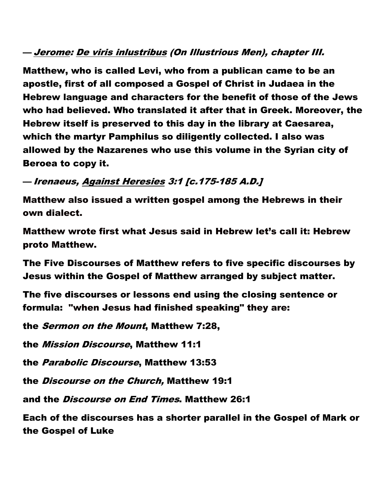## — <u>Jerome</u>: <u>De viris inlustribus</u> (On Illustrious Men), chapter III.

Matthew, who is called Levi, who from a publican came to be an apostle, first of all composed a Gospel of Christ in Judaea in the Hebrew language and characters for the benefit of those of the Jews who had believed. Who translated it after that in Greek. Moreover, the Hebrew itself is preserved to this day in the library at Caesarea, which the martyr Pamphilus so diligently collected. I also was allowed by the Nazarenes who use this volume in the Syrian city of Beroea to copy it.

### — Irenaeus, Against Heresies 3:1 [c.175-185 A.D.]

Matthew also issued a written gospel among the Hebrews in their own dialect.

Matthew wrote first what Jesus said in Hebrew let's call it: Hebrew proto Matthew.

The Five Discourses of Matthew refers to five specific discourses by Jesus within the Gospel of Matthew arranged by subject matter.

The five discourses or lessons end using the closing sentence or formula: "when Jesus had finished speaking" they are:

the Sermon on the Mount, Matthew 7:28,

the Mission Discourse, Matthew 11:1

the Parabolic Discourse, Matthew 13:53

the Discourse on the Church, Matthew 19:1

and the Discourse on End Times. Matthew 26:1

Each of the discourses has a shorter parallel in the Gospel of Mark or the Gospel of Luke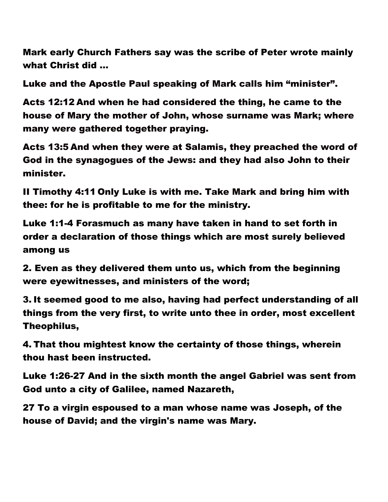Mark early Church Fathers say was the scribe of Peter wrote mainly what Christ did …

Luke and the Apostle Paul speaking of Mark calls him "minister".

Acts 12:12 And when he had considered the thing, he came to the house of Mary the mother of John, whose surname was Mark; where many were gathered together praying.

Acts 13:5 And when they were at Salamis, they preached the word of God in the synagogues of the Jews: and they had also John to their minister.

II Timothy 4:11 Only Luke is with me. Take Mark and bring him with thee: for he is profitable to me for the ministry.

Luke 1:1-4 Forasmuch as many have taken in hand to set forth in order a declaration of those things which are most surely believed among us

2. Even as they delivered them unto us, which from the beginning were eyewitnesses, and ministers of the word;

3. It seemed good to me also, having had perfect understanding of all things from the very first, to write unto thee in order, most excellent Theophilus,

4. That thou mightest know the certainty of those things, wherein thou hast been instructed.

Luke 1:26-27 And in the sixth month the angel Gabriel was sent from God unto a city of Galilee, named Nazareth,

27 To a virgin espoused to a man whose name was Joseph, of the house of David; and the virgin's name was Mary.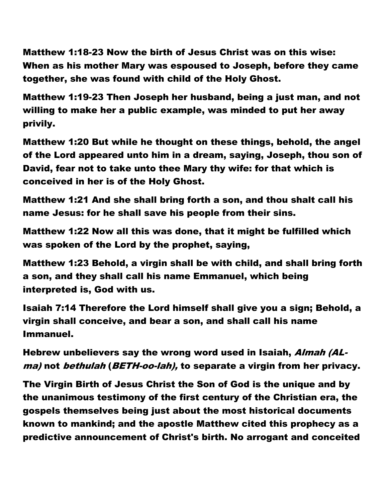Matthew 1:18-23 Now the birth of Jesus Christ was on this wise: When as his mother Mary was espoused to Joseph, before they came together, she was found with child of the Holy Ghost.

Matthew 1:19-23 Then Joseph her husband, being a just man, and not willing to make her a public example, was minded to put her away privily.

Matthew 1:20 But while he thought on these things, behold, the angel of the Lord appeared unto him in a dream, saying, Joseph, thou son of David, fear not to take unto thee Mary thy wife: for that which is conceived in her is of the Holy Ghost.

Matthew 1:21 And she shall bring forth a son, and thou shalt call his name Jesus: for he shall save his people from their sins.

Matthew 1:22 Now all this was done, that it might be fulfilled which was spoken of the Lord by the prophet, saying,

Matthew 1:23 Behold, a virgin shall be with child, and shall bring forth a son, and they shall call his name Emmanuel, which being interpreted is, God with us.

Isaiah 7:14 Therefore the Lord himself shall give you a sign; Behold, a virgin shall conceive, and bear a son, and shall call his name Immanuel.

Hebrew unbelievers say the wrong word used in Isaiah, Almah (ALma) not *bethulah* (*BETH-oo-lah*), to separate a virgin from her privacy.

The Virgin Birth of Jesus Christ the Son of God is the unique and by the unanimous testimony of the first century of the Christian era, the gospels themselves being just about the most historical documents known to mankind; and the apostle Matthew cited this prophecy as a predictive announcement of Christ's birth. No arrogant and conceited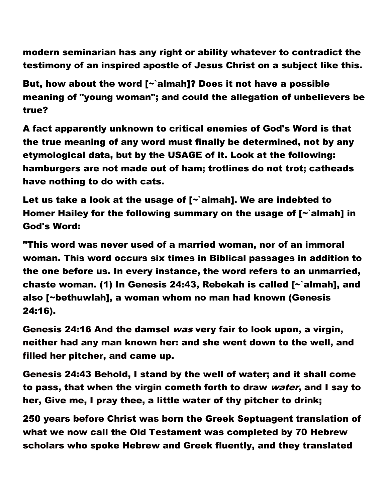modern seminarian has any right or ability whatever to contradict the testimony of an inspired apostle of Jesus Christ on a subject like this.

But, how about the word  $\sim$  almah]? Does it not have a possible meaning of "young woman"; and could the allegation of unbelievers be true?

A fact apparently unknown to critical enemies of God's Word is that the true meaning of any word must finally be determined, not by any etymological data, but by the USAGE of it. Look at the following: hamburgers are not made out of ham; trotlines do not trot; catheads have nothing to do with cats.

Let us take a look at the usage of  $\sim$  almah]. We are indebted to Homer Hailey for the following summary on the usage of [~`almah] in God's Word:

"This word was never used of a married woman, nor of an immoral woman. This word occurs six times in Biblical passages in addition to the one before us. In every instance, the word refers to an unmarried, chaste woman. (1) In Genesis 24:43, Rebekah is called [~`almah], and also [~bethuwlah], a woman whom no man had known (Genesis 24:16).

Genesis 24:16 And the damsel was very fair to look upon, a virgin, neither had any man known her: and she went down to the well, and filled her pitcher, and came up.

Genesis 24:43 Behold, I stand by the well of water; and it shall come to pass, that when the virgin cometh forth to draw *water*, and I say to her, Give me, I pray thee, a little water of thy pitcher to drink;

250 years before Christ was born the Greek Septuagent translation of what we now call the Old Testament was completed by 70 Hebrew scholars who spoke Hebrew and Greek fluently, and they translated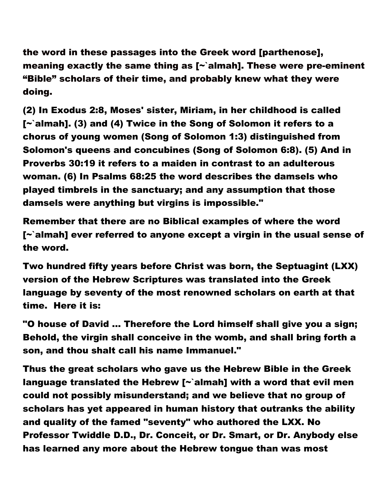the word in these passages into the Greek word [parthenose], meaning exactly the same thing as [~`almah]. These were pre-eminent "Bible" scholars of their time, and probably knew what they were doing.

(2) In Exodus 2:8, Moses' sister, Miriam, in her childhood is called [~`almah]. (3) and (4) Twice in the Song of Solomon it refers to a chorus of young women (Song of Solomon 1:3) distinguished from Solomon's queens and concubines (Song of Solomon 6:8). (5) And in Proverbs 30:19 it refers to a maiden in contrast to an adulterous woman. (6) In Psalms 68:25 the word describes the damsels who played timbrels in the sanctuary; and any assumption that those damsels were anything but virgins is impossible."

Remember that there are no Biblical examples of where the word [~`almah] ever referred to anyone except a virgin in the usual sense of the word.

Two hundred fifty years before Christ was born, the Septuagint (LXX) version of the Hebrew Scriptures was translated into the Greek language by seventy of the most renowned scholars on earth at that time. Here it is:

"O house of David ... Therefore the Lord himself shall give you a sign; Behold, the virgin shall conceive in the womb, and shall bring forth a son, and thou shalt call his name Immanuel."

Thus the great scholars who gave us the Hebrew Bible in the Greek language translated the Hebrew  $\lceil \cdot \rceil$  almah] with a word that evil men could not possibly misunderstand; and we believe that no group of scholars has yet appeared in human history that outranks the ability and quality of the famed "seventy" who authored the LXX. No Professor Twiddle D.D., Dr. Conceit, or Dr. Smart, or Dr. Anybody else has learned any more about the Hebrew tongue than was most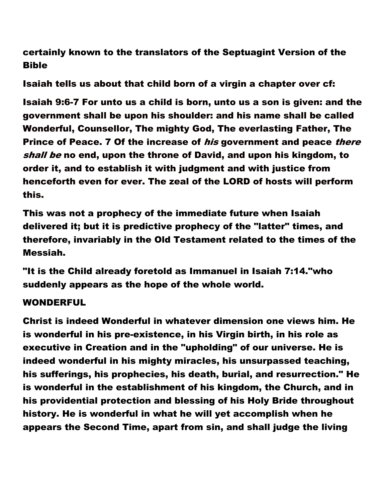certainly known to the translators of the Septuagint Version of the Bible

Isaiah tells us about that child born of a virgin a chapter over cf:

Isaiah 9:6-7 For unto us a child is born, unto us a son is given: and the government shall be upon his shoulder: and his name shall be called Wonderful, Counsellor, The mighty God, The everlasting Father, The Prince of Peace. 7 Of the increase of *his* government and peace *there* shall be no end, upon the throne of David, and upon his kingdom, to order it, and to establish it with judgment and with justice from henceforth even for ever. The zeal of the LORD of hosts will perform this.

This was not a prophecy of the immediate future when Isaiah delivered it; but it is predictive prophecy of the "latter" times, and therefore, invariably in the Old Testament related to the times of the Messiah.

"It is the Child already foretold as Immanuel in Isaiah 7:14."who suddenly appears as the hope of the whole world.

#### WONDERFUL

Christ is indeed Wonderful in whatever dimension one views him. He is wonderful in his pre-existence, in his Virgin birth, in his role as executive in Creation and in the "upholding" of our universe. He is indeed wonderful in his mighty miracles, his unsurpassed teaching, his sufferings, his prophecies, his death, burial, and resurrection." He is wonderful in the establishment of his kingdom, the Church, and in his providential protection and blessing of his Holy Bride throughout history. He is wonderful in what he will yet accomplish when he appears the Second Time, apart from sin, and shall judge the living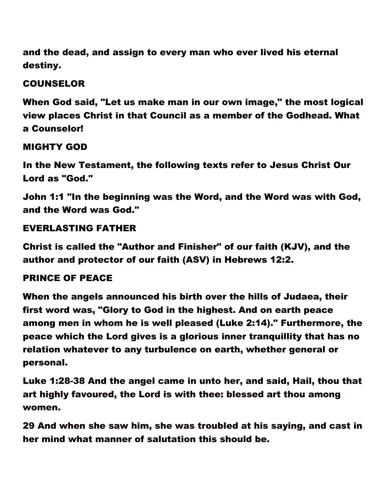and the dead, and assign to every man who ever lived his eternal destiny.

# COUNSELOR

When God said, "Let us make man in our own image," the most logical view places Christ in that Council as a member of the Godhead. What a Counselor!

# MIGHTY GOD

In the New Testament, the following texts refer to Jesus Christ Our Lord as "God."

John 1:1 "In the beginning was the Word, and the Word was with God, and the Word was God."

## EVERLASTING FATHER

Christ is called the "Author and Finisher" of our faith (KJV), and the author and protector of our faith (ASV) in Hebrews 12:2.

### PRINCE OF PEACE

When the angels announced his birth over the hills of Judaea, their first word was, "Glory to God in the highest. And on earth peace among men in whom he is well pleased (Luke 2:14)." Furthermore, the peace which the Lord gives is a glorious inner tranquillity that has no relation whatever to any turbulence on earth, whether general or personal.

Luke 1:28-38 And the angel came in unto her, and said, Hail, thou that art highly favoured, the Lord is with thee: blessed art thou among women.

29 And when she saw him, she was troubled at his saying, and cast in her mind what manner of salutation this should be.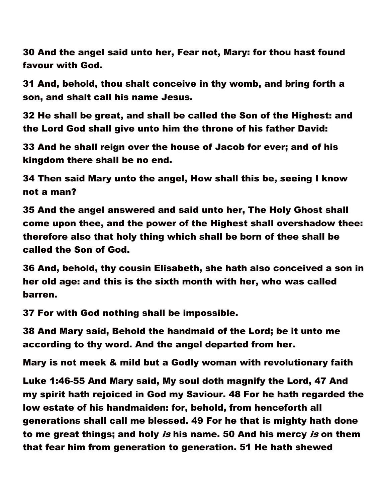30 And the angel said unto her, Fear not, Mary: for thou hast found favour with God.

31 And, behold, thou shalt conceive in thy womb, and bring forth a son, and shalt call his name Jesus.

32 He shall be great, and shall be called the Son of the Highest: and the Lord God shall give unto him the throne of his father David:

33 And he shall reign over the house of Jacob for ever; and of his kingdom there shall be no end.

34 Then said Mary unto the angel, How shall this be, seeing I know not a man?

35 And the angel answered and said unto her, The Holy Ghost shall come upon thee, and the power of the Highest shall overshadow thee: therefore also that holy thing which shall be born of thee shall be called the Son of God.

36 And, behold, thy cousin Elisabeth, she hath also conceived a son in her old age: and this is the sixth month with her, who was called barren.

37 For with God nothing shall be impossible.

38 And Mary said, Behold the handmaid of the Lord; be it unto me according to thy word. And the angel departed from her.

Mary is not meek & mild but a Godly woman with revolutionary faith

Luke 1:46-55 And Mary said, My soul doth magnify the Lord, 47 And my spirit hath rejoiced in God my Saviour. 48 For he hath regarded the low estate of his handmaiden: for, behold, from henceforth all generations shall call me blessed. 49 For he that is mighty hath done to me great things; and holy is his name. 50 And his mercy is on them that fear him from generation to generation. 51 He hath shewed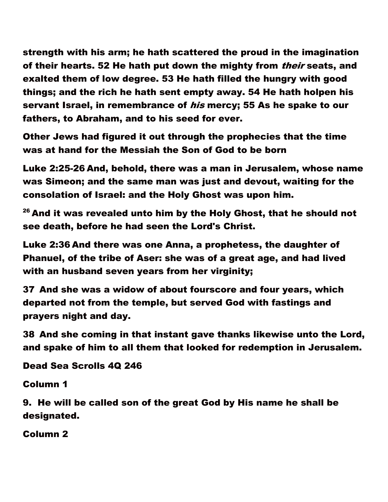strength with his arm; he hath scattered the proud in the imagination of their hearts. 52 He hath put down the mighty from *their* seats, and exalted them of low degree. 53 He hath filled the hungry with good things; and the rich he hath sent empty away. 54 He hath holpen his servant Israel, in remembrance of *his* mercy; 55 As he spake to our fathers, to Abraham, and to his seed for ever.

Other Jews had figured it out through the prophecies that the time was at hand for the Messiah the Son of God to be born

Luke 2:25-26 And, behold, there was a man in Jerusalem, whose name was Simeon; and the same man was just and devout, waiting for the consolation of Israel: and the Holy Ghost was upon him.

 $26$  And it was revealed unto him by the Holy Ghost, that he should not see death, before he had seen the Lord's Christ.

Luke 2:36 And there was one Anna, a prophetess, the daughter of Phanuel, of the tribe of Aser: she was of a great age, and had lived with an husband seven years from her virginity;

37 And she was a widow of about fourscore and four years, which departed not from the temple, but served God with fastings and prayers night and day.

38 And she coming in that instant gave thanks likewise unto the Lord, and spake of him to all them that looked for redemption in Jerusalem.

Dead Sea Scrolls 4Q 246

Column 1

9. He will be called son of the great God by His name he shall be designated.

Column 2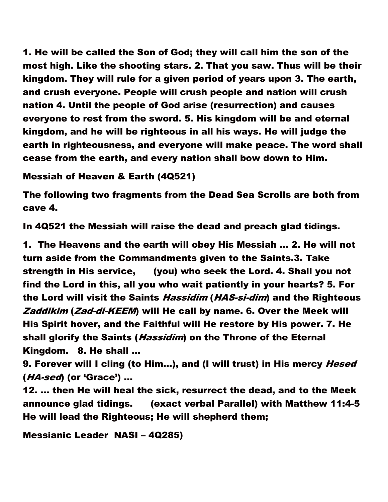1. He will be called the Son of God; they will call him the son of the most high. Like the shooting stars. 2. That you saw. Thus will be their kingdom. They will rule for a given period of years upon 3. The earth, and crush everyone. People will crush people and nation will crush nation 4. Until the people of God arise (resurrection) and causes everyone to rest from the sword. 5. His kingdom will be and eternal kingdom, and he will be righteous in all his ways. He will judge the earth in righteousness, and everyone will make peace. The word shall cease from the earth, and every nation shall bow down to Him.

#### Messiah of Heaven & Earth (4Q521)

The following two fragments from the Dead Sea Scrolls are both from cave 4.

In 4Q521 the Messiah will raise the dead and preach glad tidings.

1. The Heavens and the earth will obey His Messiah … 2. He will not turn aside from the Commandments given to the Saints.3. Take strength in His service, (you) who seek the Lord. 4. Shall you not find the Lord in this, all you who wait patiently in your hearts? 5. For the Lord will visit the Saints *Hassidim (HAS-si-dim*) and the Righteous Zaddikim (Zad-di-KEEM) will He call by name. 6. Over the Meek will His Spirit hover, and the Faithful will He restore by His power. 7. He shall glorify the Saints (*Hassidim*) on the Throne of the Eternal Kingdom. 8. He shall …

9. Forever will I cling (to Him...), and (I will trust) in His mercy Hesed (HA-sed) (or 'Grace') …

12. … then He will heal the sick, resurrect the dead, and to the Meek announce glad tidings. (exact verbal Parallel) with Matthew 11:4-5 He will lead the Righteous; He will shepherd them;

Messianic Leader NASI – 4Q285)